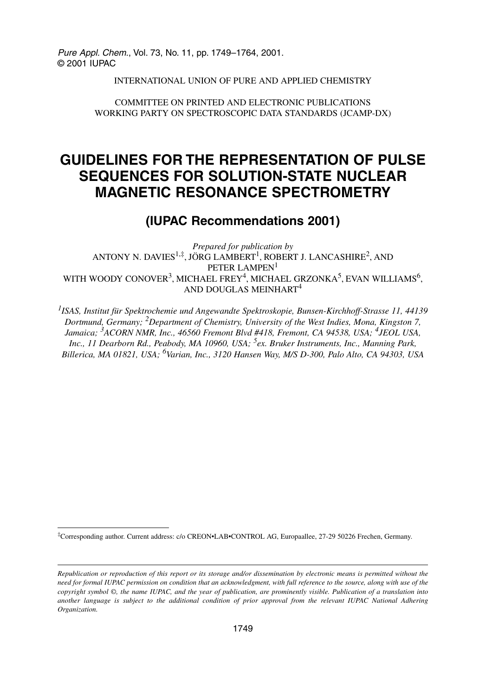Pure Appl. Chem., Vol. 73, No. 11, pp. 1749–1764, 2001. © 2001 IUPAC

INTERNATIONAL UNION OF PURE AND APPLIED CHEMISTRY

COMMITTEE ON PRINTED AND ELECTRONIC PUBLICATIONS WORKING PARTY ON SPECTROSCOPIC DATA STANDARDS (JCAMP-DX)

# **GUIDELINES FOR THE REPRESENTATION OF PULSE SEQUENCES FOR SOLUTION-STATE NUCLEAR MAGNETIC RESONANCE SPECTROMETRY**

## **(IUPAC Recommendations 2001)**

*Prepared for publication by* ANTONY N. DAVIES<sup>1,‡</sup>, JÖRG LAMBERT<sup>1</sup>, ROBERT J. LANCASHIRE<sup>2</sup>, AND PETER LAMPEN<sup>1</sup> WITH WOODY CONOVER<sup>3</sup>, MICHAEL FREY<sup>4</sup>, MICHAEL GRZONKA<sup>5</sup>, EVAN WILLIAMS<sup>6</sup>, AND DOUGLAS MEINHART<sup>4</sup>

*1ISAS, Institut für Spektrochemie und Angewandte Spektroskopie, Bunsen-Kirchhoff-Strasse 11, 44139 Dortmund, Germany; 2Department of Chemistry, University of the West Indies, Mona, Kingston 7, Jamaica; 3ACORN NMR, Inc., 46560 Fremont Blvd #418, Fremont, CA 94538, USA; 4JEOL USA, Inc., 11 Dearborn Rd., Peabody, MA 10960, USA; 5ex. Bruker Instruments, Inc., Manning Park, Billerica, MA 01821, USA; 6Varian, Inc., 3120 Hansen Way, M/S D-300, Palo Alto, CA 94303, USA*

‡Corresponding author. Current address: c/o CREON•LAB•CONTROL AG, Europaallee, 27-29 50226 Frechen, Germany.

*Republication or reproduction of this report or its storage and/or dissemination by electronic means is permitted without the need for formal IUPAC permission on condition that an acknowledgment, with full reference to the source, along with use of the copyright symbol ©, the name IUPAC, and the year of publication, are prominently visible. Publication of a translation into another language is subject to the additional condition of prior approval from the relevant IUPAC National Adhering Organization.*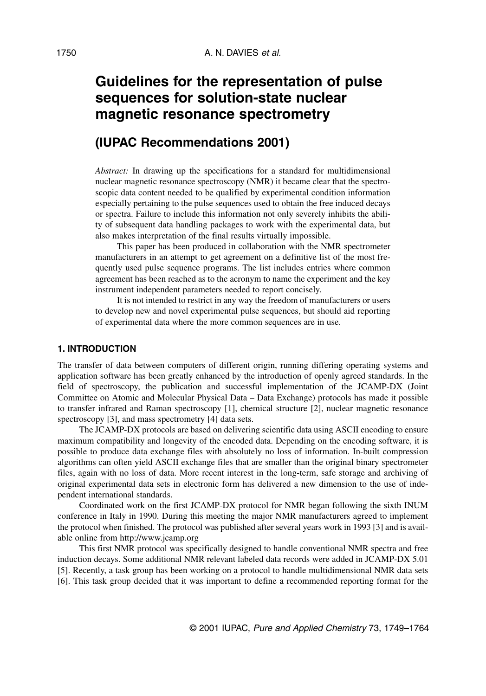# **Guidelines for the representation of pulse sequences for solution-state nuclear magnetic resonance spectrometry**

## **(IUPAC Recommendations 2001)**

*Abstract:* In drawing up the specifications for a standard for multidimensional nuclear magnetic resonance spectroscopy (NMR) it became clear that the spectroscopic data content needed to be qualified by experimental condition information especially pertaining to the pulse sequences used to obtain the free induced decays or spectra. Failure to include this information not only severely inhibits the ability of subsequent data handling packages to work with the experimental data, but also makes interpretation of the final results virtually impossible.

This paper has been produced in collaboration with the NMR spectrometer manufacturers in an attempt to get agreement on a definitive list of the most frequently used pulse sequence programs. The list includes entries where common agreement has been reached as to the acronym to name the experiment and the key instrument independent parameters needed to report concisely.

It is not intended to restrict in any way the freedom of manufacturers or users to develop new and novel experimental pulse sequences, but should aid reporting of experimental data where the more common sequences are in use.

#### **1. INTRODUCTION**

The transfer of data between computers of different origin, running differing operating systems and application software has been greatly enhanced by the introduction of openly agreed standards. In the field of spectroscopy, the publication and successful implementation of the JCAMP-DX (Joint Committee on Atomic and Molecular Physical Data – Data Exchange) protocols has made it possible to transfer infrared and Raman spectroscopy [1], chemical structure [2], nuclear magnetic resonance spectroscopy [3], and mass spectrometry [4] data sets.

The JCAMP-DX protocols are based on delivering scientific data using ASCII encoding to ensure maximum compatibility and longevity of the encoded data. Depending on the encoding software, it is possible to produce data exchange files with absolutely no loss of information. In-built compression algorithms can often yield ASCII exchange files that are smaller than the original binary spectrometer files, again with no loss of data. More recent interest in the long-term, safe storage and archiving of original experimental data sets in electronic form has delivered a new dimension to the use of independent international standards.

Coordinated work on the first JCAMP-DX protocol for NMR began following the sixth INUM conference in Italy in 1990. During this meeting the major NMR manufacturers agreed to implement the protocol when finished. The protocol was published after several years work in 1993 [3] and is available online from http://www.jcamp.org

This first NMR protocol was specifically designed to handle conventional NMR spectra and free induction decays. Some additional NMR relevant labeled data records were added in JCAMP-DX 5.01 [5]. Recently, a task group has been working on a protocol to handle multidimensional NMR data sets [6]. This task group decided that it was important to define a recommended reporting format for the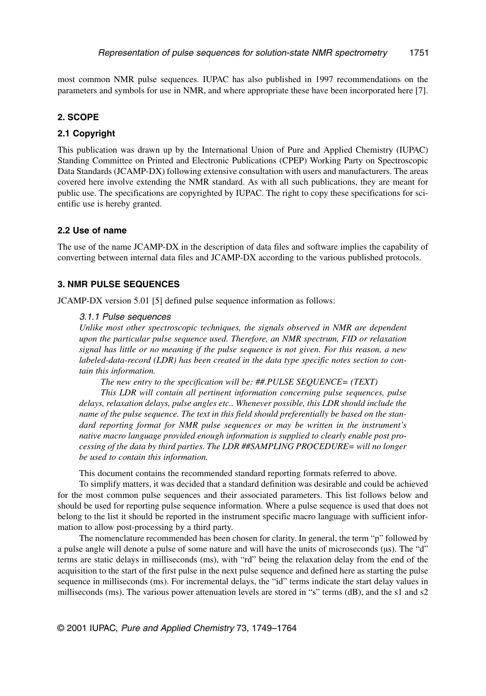most common NMR pulse sequences. IUPAC has also published in 1997 recommendations on the parameters and symbols for use in NMR, and where appropriate these have been incorporated here [7].

#### **2. SCOPE**

#### **2.1 Copyright**

This publication was drawn up by the International Union of Pure and Applied Chemistry (IUPAC) Standing Committee on Printed and Electronic Publications (CPEP) Working Party on Spectroscopic Data Standards (JCAMP-DX) following extensive consultation with users and manufacturers. The areas covered here involve extending the NMR standard. As with all such publications, they are meant for public use. The specifications are copyrighted by IUPAC. The right to copy these specifications for scientific use is hereby granted.

#### **2.2 Use of name**

The use of the name JCAMP-DX in the description of data files and software implies the capability of converting between internal data files and JCAMP-DX according to the various published protocols.

#### **3. NMR PULSE SEQUENCES**

JCAMP-DX version 5.01 [5] defined pulse sequence information as follows:

#### 3.1.1 Pulse sequences

*Unlike most other spectroscopic techniques, the signals observed in NMR are dependent upon the particular pulse sequence used. Therefore, an NMR spectrum, FID or relaxation signal has little or no meaning if the pulse sequence is not given. For this reason, a new labeled-data-record (LDR) has been created in the data type specific notes section to contain this information.*

*The new entry to the specification will be: ##.PULSE SEQUENCE= (TEXT)*

*This LDR will contain all pertinent information concerning pulse sequences, pulse delays, relaxation delays, pulse angles etc.. Whenever possible, this LDR should include the name of the pulse sequence. The text in this field should preferentially be based on the standard reporting format for NMR pulse sequences or may be written in the instrument's native macro language provided enough information is supplied to clearly enable post processing of the data by third parties. The LDR ##SAMPLING PROCEDURE= will no longer be used to contain this information.* 

This document contains the recommended standard reporting formats referred to above.

To simplify matters, it was decided that a standard definition was desirable and could be achieved for the most common pulse sequences and their associated parameters. This list follows below and should be used for reporting pulse sequence information. Where a pulse sequence is used that does not belong to the list it should be reported in the instrument specific macro language with sufficient information to allow post-processing by a third party.

The nomenclature recommended has been chosen for clarity. In general, the term "p" followed by a pulse angle will denote a pulse of some nature and will have the units of microseconds (µs). The "d" terms are static delays in milliseconds (ms), with "rd" being the relaxation delay from the end of the acquisition to the start of the first pulse in the next pulse sequence and defined here as starting the pulse sequence in milliseconds (ms). For incremental delays, the "id" terms indicate the start delay values in milliseconds (ms). The various power attenuation levels are stored in "s" terms (dB), and the s1 and s2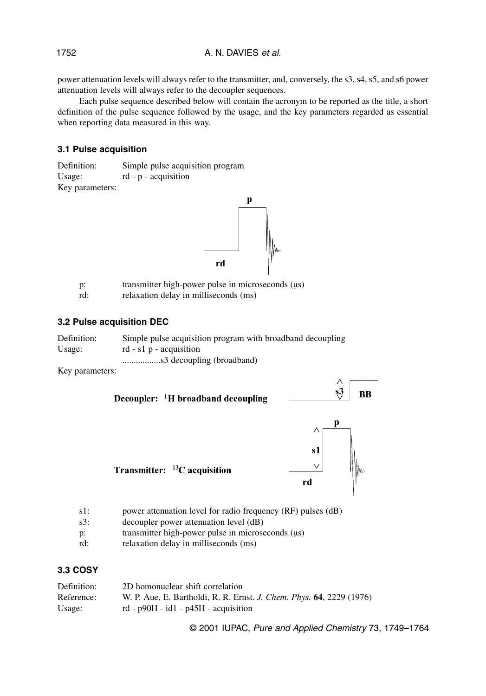power attenuation levels will always refer to the transmitter, and, conversely, the s3, s4, s5, and s6 power attenuation levels will always refer to the decoupler sequences.

Each pulse sequence described below will contain the acronym to be reported as the title, a short definition of the pulse sequence followed by the usage, and the key parameters regarded as essential when reporting data measured in this way.

#### **3.1 Pulse acquisition**

Definition: Simple pulse acquisition program Usage: rd - p - acquisition Key parameters:



| $p$ : | transmitter high-power pulse in microseconds $(\mu s)$ |
|-------|--------------------------------------------------------|
| rd:   | relaxation delay in milliseconds (ms)                  |

#### **3.2 Pulse acquisition DEC**

| Definition: | Simple pulse acquisition program with broadband decoupling |
|-------------|------------------------------------------------------------|
| Usage:      | rd - s1 $p$ - acquisition                                  |
|             |                                                            |

Key parameters:



- 
- s3: decoupler power attenuation level (dB)
- p: transmitter high-power pulse in microseconds ( $\mu$ s)
- rd: relaxation delay in milliseconds (ms)

## **3.3 COSY**

| Definition: | 2D homonuclear shift correlation                                     |
|-------------|----------------------------------------------------------------------|
| Reference:  | W. P. Aue, E. Bartholdi, R. R. Ernst. J. Chem. Phys. 64, 2229 (1976) |
| Usage:      | rd - $p90H - id1 - p45H - acquistion$                                |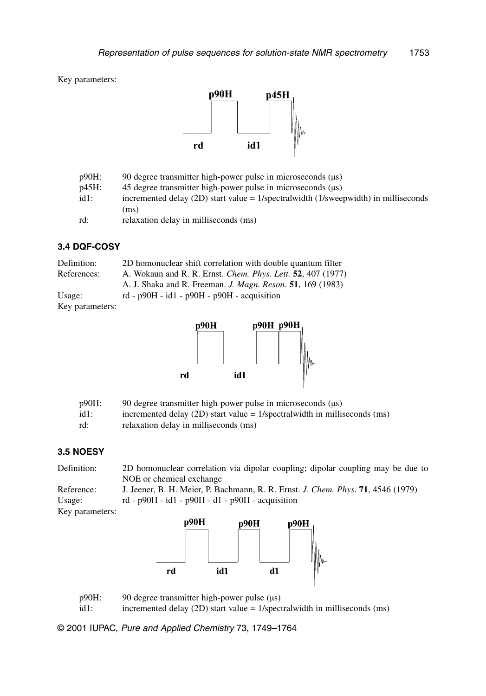Key parameters:



| p90H:   | 90 degree transmitter high-power pulse in microseconds (us)                            |
|---------|----------------------------------------------------------------------------------------|
| p45H:   | 45 degree transmitter high-power pulse in microseconds (us)                            |
| $id1$ : | incremented delay (2D) start value = $1$ /spectralwidth (1/sweepwidth) in milliseconds |
|         | (ms)                                                                                   |
| rd:     | relaxation delay in milliseconds (ms)                                                  |

#### **3.4 DQF-COSY**

| Definition:     | 2D homonuclear shift correlation with double quantum filter                |
|-----------------|----------------------------------------------------------------------------|
| References:     | A. Wokaun and R. R. Ernst. <i>Chem. Phys. Lett.</i> <b>52</b> , 407 (1977) |
|                 | A. J. Shaka and R. Freeman. <i>J. Magn. Reson.</i> <b>51</b> , 169 (1983)  |
| Usage:          | rd - $p90H - id1 - p90H - p90H - acquistion$                               |
| Key parameters: |                                                                            |
|                 |                                                                            |



| p90H:   | 90 degree transmitter high-power pulse in microseconds $(\mu s)$             |
|---------|------------------------------------------------------------------------------|
| $id1$ : | incremented delay (2D) start value = $1$ /spectralwidth in milliseconds (ms) |
| rd:     | relaxation delay in milliseconds (ms)                                        |

## **3.5 NOESY**

| Definition:     | 2D homonuclear correlation via dipolar coupling; dipolar coupling may be due to  |
|-----------------|----------------------------------------------------------------------------------|
|                 | NOE or chemical exchange                                                         |
| Reference:      | J. Jeener, B. H. Meier, P. Bachmann, R. R. Ernst. J. Chem. Phys. 71, 4546 (1979) |
| Usage:          | rd - $p90H - id1 - p90H - d1 - p90H - acquisition$                               |
| Key parameters: |                                                                                  |



p90H: 90 degree transmitter high-power pulse (µs) id1: incremented delay (2D) start value = 1/spectralwidth in milliseconds (ms)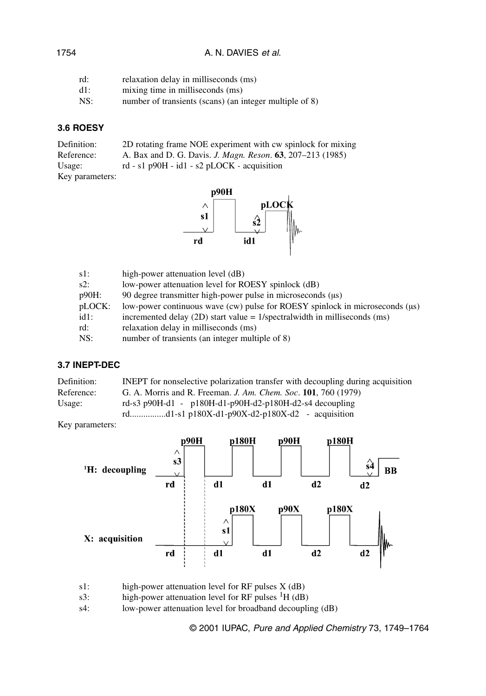## A. N. DAVIES et al.

| rd:    | relaxation delay in milliseconds (ms)                   |
|--------|---------------------------------------------------------|
| $d1$ : | mixing time in milliseconds (ms)                        |
| NS:    | number of transients (scans) (an integer multiple of 8) |

## **3.6 ROESY**

| Definition:     | 2D rotating frame NOE experiment with cw spinlock for mixing      |
|-----------------|-------------------------------------------------------------------|
| Reference:      | A. Bax and D. G. Davis. <i>J. Magn. Reson.</i> 63, 207–213 (1985) |
| Usage:          | rd - s1 p90H - id1 - s2 pLOCK - acquisition                       |
| Key parameters: |                                                                   |



| high-power attenuation level (dB)                                                  |
|------------------------------------------------------------------------------------|
| low-power attenuation level for ROESY spinlock (dB)                                |
| 90 degree transmitter high-power pulse in microseconds (us)                        |
| low-power continuous wave (cw) pulse for ROESY spinlock in microseconds ( $\mu$ s) |
| incremented delay (2D) start value = $1$ /spectralwidth in milliseconds (ms)       |
| relaxation delay in milliseconds (ms)                                              |
| number of transients (an integer multiple of 8)                                    |
|                                                                                    |

#### **3.7 INEPT-DEC**

| Definition: | <b>INEPT</b> for nonselective polarization transfer with decoupling during acquisition |
|-------------|----------------------------------------------------------------------------------------|
| Reference:  | G. A. Morris and R. Freeman. J. Am. Chem. Soc. 101. 760 (1979)                         |
| Usage:      | rd-s3 p90H-d1 - p180H-d1-p90H-d2-p180H-d2-s4 decoupling                                |
|             | rdd1-s1 p180X-d1-p90X-d2-p180X-d2 - acquisition                                        |

Key parameters:



s1: high-power attenuation level for RF pulses  $X$  (dB)<br>s3: high-power attenuation level for RF pulses  ${}^{1}H$  (dB)

high-power attenuation level for RF pulses  ${}^{1}H$  (dB)

s4: low-power attenuation level for broadband decoupling (dB)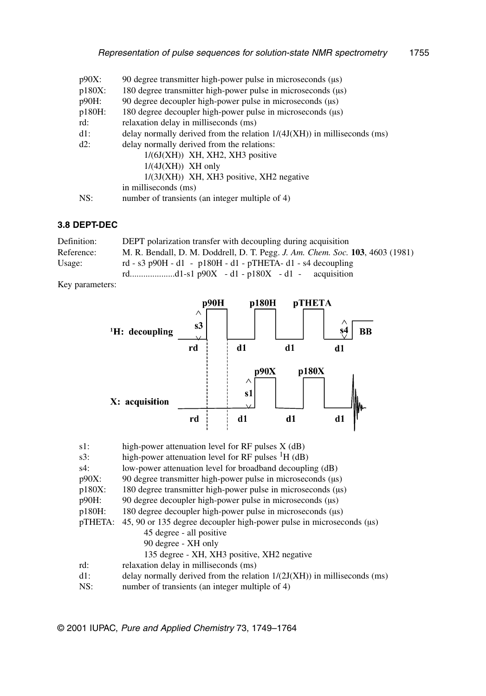| $p90X$ :  | 90 degree transmitter high-power pulse in microseconds ( $\mu$ s)          |
|-----------|----------------------------------------------------------------------------|
| $p180X$ : | 180 degree transmitter high-power pulse in microseconds ( $\mu$ s)         |
| p90H:     | 90 degree decoupler high-power pulse in microseconds ( $\mu$ s)            |
| p180H:    | 180 degree decoupler high-power pulse in microseconds ( $\mu$ s)           |
| rd:       | relaxation delay in milliseconds (ms)                                      |
| $dl$ :    | delay normally derived from the relation $1/(4J(XH))$ in milliseconds (ms) |
| $d2$ :    | delay normally derived from the relations:                                 |
|           | $1/(6J(XH))$ XH, XH2, XH3 positive                                         |
|           | $1/(4J(XH))$ XH only                                                       |
|           | $1/(3J(XH))$ XH, XH3 positive, XH2 negative                                |
|           | in milliseconds (ms)                                                       |
| NS:       | number of transients (an integer multiple of 4)                            |

## **3.8 DEPT-DEC**

| Definition: | DEPT polarization transfer with decoupling during acquisition                 |
|-------------|-------------------------------------------------------------------------------|
| Reference:  | M. R. Bendall, D. M. Doddrell, D. T. Pegg. J. Am. Chem. Soc. 103, 4603 (1981) |
| Usage:      | rd - s3 p90H - d1 - p180H - d1 - pTHETA- d1 - s4 decoupling                   |
|             |                                                                               |

Key parameters:



| $s1$ :   | high-power attenuation level for RF pulses $X$ (dB)                        |
|----------|----------------------------------------------------------------------------|
| $s3$ :   | high-power attenuation level for RF pulses ${}^{1}H$ (dB)                  |
| s4:      | low-power attenuation level for broadband decoupling (dB)                  |
| $p90X$ : | 90 degree transmitter high-power pulse in microseconds ( $\mu$ s)          |
| p180X:   | 180 degree transmitter high-power pulse in microseconds ( $\mu$ s)         |
| p90H:    | 90 degree decoupler high-power pulse in microseconds $(\mu s)$             |
| p180H:   | 180 degree decoupler high-power pulse in microseconds ( $\mu$ s)           |
| pTHETA:  | 45, 90 or 135 degree decoupler high-power pulse in microseconds ( $\mu$ s) |
|          | 45 degree - all positive                                                   |
|          | 90 degree - XH only                                                        |
|          | 135 degree - XH, XH3 positive, XH2 negative                                |
| rd:      | relaxation delay in milliseconds (ms)                                      |
| dl:      | delay normally derived from the relation $1/(2J(XH))$ in milliseconds (ms) |
| NS:      | number of transients (an integer multiple of 4)                            |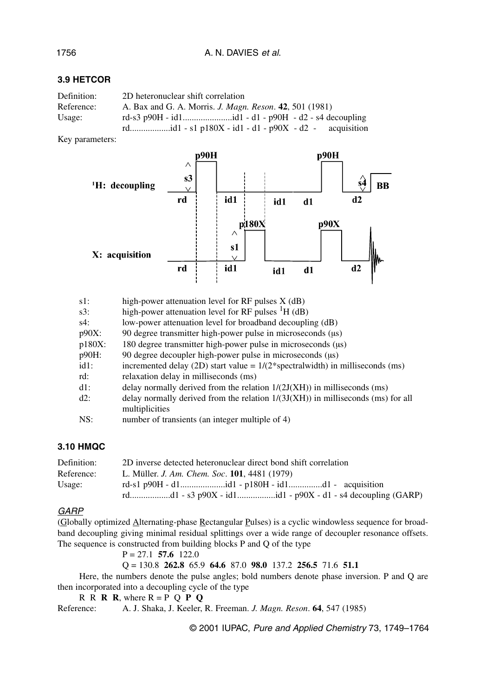## **3.9 HETCOR**

| Definition: | 2D heteronuclear shift correlation                                     |
|-------------|------------------------------------------------------------------------|
| Reference:  | A. Bax and G. A. Morris. <i>J. Magn. Reson.</i> <b>42</b> , 501 (1981) |
| Usage:      |                                                                        |
|             |                                                                        |

Key parameters:



| $s1$ :    | high-power attenuation level for $RF$ pulses $X$ (dB)                              |
|-----------|------------------------------------------------------------------------------------|
| $s3$ :    | high-power attenuation level for RF pulses ${}^{1}H$ (dB)                          |
| s4:       | low-power attenuation level for broadband decoupling (dB)                          |
| $p90X$ :  | 90 degree transmitter high-power pulse in microseconds ( $\mu$ s)                  |
| $p180X$ : | 180 degree transmitter high-power pulse in microseconds ( $\mu$ s)                 |
| p90H:     | 90 degree decoupler high-power pulse in microseconds (us)                          |
| $id1$ :   | incremented delay (2D) start value = $1/(2*)$ spectral width) in milliseconds (ms) |
| rd:       | relaxation delay in milliseconds (ms)                                              |
| dl:       | delay normally derived from the relation $1/(2J(XH))$ in milliseconds (ms)         |
| d2:       | delay normally derived from the relation $1/(3J(XH))$ in milliseconds (ms) for all |
|           | multiplicities                                                                     |
| NS:       | number of transients (an integer multiple of 4)                                    |

## **3.10 HMQC**

| Definition: | 2D inverse detected heteronuclear direct bond shift correlation |
|-------------|-----------------------------------------------------------------|
| Reference:  | L. Müller. <i>J. Am. Chem. Soc.</i> <b>101</b> , 4481 (1979)    |
| Usage:      |                                                                 |
|             | rdd1 - s3 p90X - id1d1 - p90X - d1 - s4 decoupling (GARP)       |

#### **GARP**

(Globally optimized Alternating-phase Rectangular Pulses) is a cyclic windowless sequence for broadband decoupling giving minimal residual splittings over a wide range of decoupler resonance offsets. The sequence is constructed from building blocks P and Q of the type

P = 27.1 **57.6** 122.0

Q = 130.8 **262.8** 65.9 **64.6** 87.0 **98.0** 137.2 **256.5** 71.6 **51.1**

Here, the numbers denote the pulse angles; bold numbers denote phase inversion. P and Q are then incorporated into a decoupling cycle of the type

R R **R**, where  $R = P Q P Q$ 

Reference: A. J. Shaka, J. Keeler, R. Freeman. *J. Magn. Reson*. **64**, 547 (1985)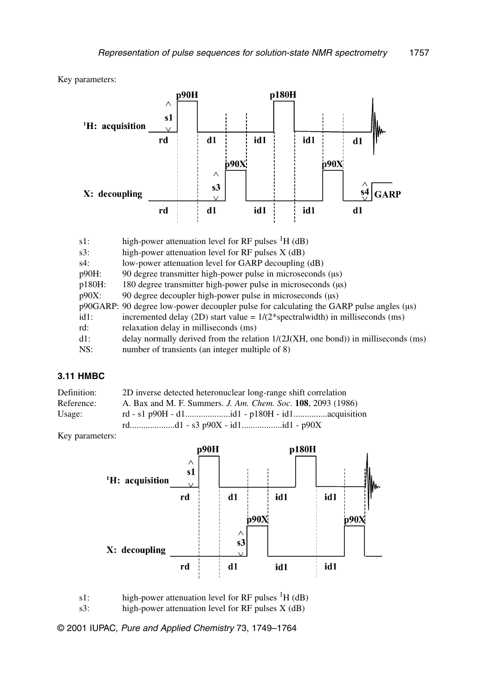Key parameters:



| high-power attenuation level for RF pulses ${}^{1}H$ (dB)                                        |
|--------------------------------------------------------------------------------------------------|
| high-power attenuation level for RF pulses X (dB)                                                |
| low-power attenuation level for GARP decoupling (dB)                                             |
| 90 degree transmitter high-power pulse in microseconds ( $\mu$ s)                                |
| 180 degree transmitter high-power pulse in microseconds (µs)                                     |
| 90 degree decoupler high-power pulse in microseconds ( $\mu$ s)                                  |
| $p90GARP$ : 90 degree low-power decoupler pulse for calculating the GARP pulse angles ( $\mu$ s) |
| incremented delay (2D) start value = $1/(2*spectralwidth)$ in milliseconds (ms)                  |
| relaxation delay in milliseconds (ms)                                                            |
| delay normally derived from the relation $1/(2J(XH, one bond))$ in milliseconds (ms)             |
| number of transients (an integer multiple of 8)                                                  |
|                                                                                                  |

#### **3.11 HMBC**

| Definition: | 2D inverse detected heteronuclear long-range shift correlation              |
|-------------|-----------------------------------------------------------------------------|
| Reference:  | A. Bax and M. F. Summers. <i>J. Am. Chem. Soc.</i> <b>108</b> , 2093 (1986) |
| Usage:      |                                                                             |
|             |                                                                             |

Key parameters:



s1: high-power attenuation level for RF pulses  ${}^{1}H$  (dB) s3: high-power attenuation level for RF pulses X (dB)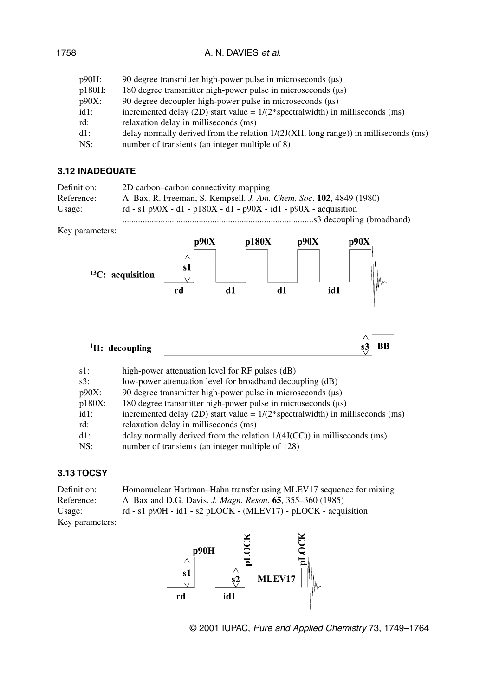## A. N. DAVIES et al.

| p90H:  | 90 degree transmitter high-power pulse in microseconds (us)                                   |
|--------|-----------------------------------------------------------------------------------------------|
| p180H: | 180 degree transmitter high-power pulse in microseconds ( $\mu$ s)                            |
| p90X:  | 90 degree decoupler high-power pulse in microseconds ( $\mu$ s)                               |
| id1:   | incremented delay (2D) start value = $1/(2*)$ spectral width) in milliseconds (ms)            |
| rd:    | relaxation delay in milliseconds (ms)                                                         |
| d1:    | delay normally derived from the relation $1/(2J(XH, \text{long range}))$ in milliseconds (ms) |
| NS:    | number of transients (an integer multiple of 8)                                               |
|        |                                                                                               |

## **3.12 INADEQUATE**

| Definition: | 2D carbon-carbon connectivity mapping                               |
|-------------|---------------------------------------------------------------------|
| Reference:  | A. Bax, R. Freeman, S. Kempsell. J. Am. Chem. Soc. 102, 4849 (1980) |
| Usage:      | rd - s1 p90X - d1 - p180X - d1 - p90X - id1 - p90X - acquisition    |
|             |                                                                     |

Key parameters:



| $s1$ :  | high-power attenuation level for RF pulses (dB)                                    |
|---------|------------------------------------------------------------------------------------|
| $s3$ :  | low-power attenuation level for broadband decoupling (dB)                          |
| p90X:   | 90 degree transmitter high-power pulse in microseconds ( $\mu$ s)                  |
| p180X:  | 180 degree transmitter high-power pulse in microseconds ( $\mu$ s)                 |
| $id1$ : | incremented delay (2D) start value = $1/(2*)$ spectral width) in milliseconds (ms) |
| rd:     | relaxation delay in milliseconds (ms)                                              |
| $d1$ :  | delay normally derived from the relation $1/(4J(CC))$ in milliseconds (ms)         |
| NS:     | number of transients (an integer multiple of 128)                                  |
|         |                                                                                    |

## **3.13 TOCSY**

| Definition:     | Homonuclear Hartman–Hahn transfer using MLEV17 sequence for mixing       |
|-----------------|--------------------------------------------------------------------------|
| Reference:      | A. Bax and D.G. Davis. <i>J. Magn. Reson.</i> <b>65</b> , 355–360 (1985) |
| Usage:          | rd - s1 p90H - id1 - s2 pLOCK - (MLEV17) - pLOCK - acquisition           |
| Key parameters: |                                                                          |

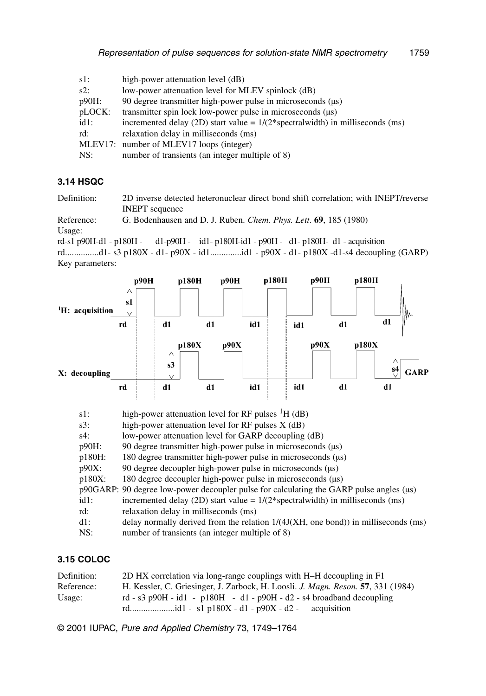| $s1$ :  | high-power attenuation level (dB)                                               |
|---------|---------------------------------------------------------------------------------|
| $s2$ :  | low-power attenuation level for MLEV spinlock (dB)                              |
| p90H:   | 90 degree transmitter high-power pulse in microseconds ( $\mu$ s)               |
| pLOCK:  | transmitter spin lock low-power pulse in microseconds ( $\mu$ s)                |
| $id1$ : | incremented delay (2D) start value = $1/(2*spectralwidth)$ in milliseconds (ms) |
| rd:     | relaxation delay in milliseconds (ms)                                           |
|         | MLEV17: number of MLEV17 loops (integer)                                        |
| NS:     | number of transients (an integer multiple of 8)                                 |

## **3.14 HSQC**

Definition: 2D inverse detected heteronuclear direct bond shift correlation; with INEPT/reverse INEPT sequence

Reference: G. Bodenhausen and D. J. Ruben. *Chem. Phys. Lett*. **69**, 185 (1980) Usage:

rd-s1 p90H-d1 - p180H - d1-p90H - id1- p180H-id1 - p90H - d1- p180H- d1 - acquisition

rd...............d1- s3 p180X - d1- p90X - id1..............id1 - p90X - d1- p180X -d1-s4 decoupling (GARP) Key parameters:



| $s1$ :    | high-power attenuation level for RF pulses ${}^{1}H$ (dB)                                        |
|-----------|--------------------------------------------------------------------------------------------------|
| $s3$ :    | high-power attenuation level for RF pulses $X$ (dB)                                              |
| $s4$ :    | low-power attenuation level for GARP decoupling (dB)                                             |
| $p90H$ :  | 90 degree transmitter high-power pulse in microseconds ( $\mu$ s)                                |
| p180H:    | 180 degree transmitter high-power pulse in microseconds ( $\mu$ s)                               |
| $p90X$ :  | 90 degree decoupler high-power pulse in microseconds ( $\mu$ s)                                  |
| $p180X$ : | 180 degree decoupler high-power pulse in microseconds ( $\mu$ s)                                 |
|           | $p90GARP$ : 90 degree low-power decoupler pulse for calculating the GARP pulse angles ( $\mu$ s) |
| $id1$ :   | incremented delay (2D) start value = $1/(2*)$ spectral width) in milliseconds (ms)               |
| rd:       | relaxation delay in milliseconds (ms)                                                            |
| $dl$ :    | delay normally derived from the relation 1/(4J(XH, one bond)) in milliseconds (ms)               |
| NS:       | number of transients (an integer multiple of 8)                                                  |

## **3.15 COLOC**

| Definition: | 2D HX correlation via long-range couplings with H–H decoupling in F1                    |
|-------------|-----------------------------------------------------------------------------------------|
| Reference:  | H. Kessler, C. Griesinger, J. Zarbock, H. Loosli. J. <i>Magn. Reson.</i> 57, 331 (1984) |
| Usage:      | rd - s3 p90H - id1 - p180H - d1 - p90H - d2 - s4 broadband decoupling                   |
|             | acquisition                                                                             |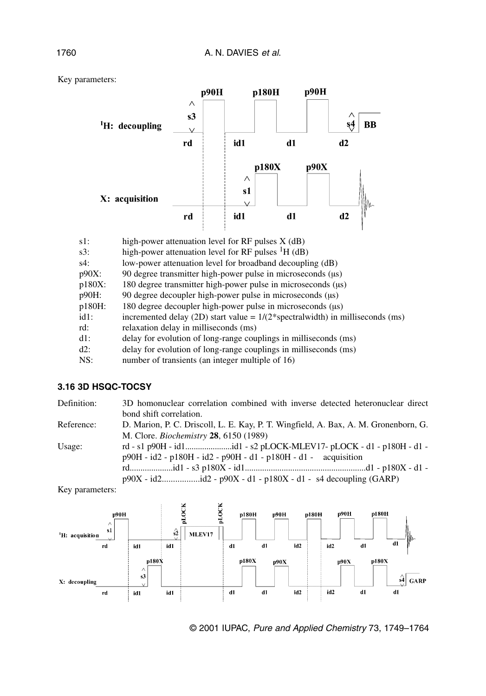

| $s1$ :   | high-power attenuation level for RF pulses $X$ (dB)                             |
|----------|---------------------------------------------------------------------------------|
| $s3$ :   | high-power attenuation level for RF pulses ${}^{1}H$ (dB)                       |
| s4:      | low-power attenuation level for broadband decoupling (dB)                       |
| $p90X$ : | 90 degree transmitter high-power pulse in microseconds ( $\mu$ s)               |
| p180X:   | 180 degree transmitter high-power pulse in microseconds ( $\mu$ s)              |
| p90H:    | 90 degree decoupler high-power pulse in microseconds $(\mu s)$                  |
| p180H:   | 180 degree decoupler high-power pulse in microseconds ( $\mu$ s)                |
| $id1$ :  | incremented delay (2D) start value = $1/(2*spectralwidth)$ in milliseconds (ms) |
| rd:      | relaxation delay in milliseconds (ms)                                           |
| $dl$ :   | delay for evolution of long-range couplings in milliseconds (ms)                |
| $d2$ :   | delay for evolution of long-range couplings in milliseconds (ms)                |
| NS:      | number of transients (an integer multiple of 16)                                |

## **3.16 3D HSQC-TOCSY**

| Definition: | 3D homonuclear correlation combined with inverse detected heteronuclear direct      |
|-------------|-------------------------------------------------------------------------------------|
|             | bond shift correlation.                                                             |
| Reference:  | D. Marion, P. C. Driscoll, L. E. Kay, P. T. Wingfield, A. Bax, A. M. Gronenborn, G. |
|             | M. Clore. <i>Biochemistry</i> 28, 6150 (1989)                                       |
| Usage:      | rd - s1 p90H - id1id1 - s2 pLOCK-MLEV17- pLOCK - d1 - p180H - d1 -                  |
|             | $p90H - id2 - p180H - id2 - p90H - d1 - p180H - d1 - acquisition$                   |
|             |                                                                                     |
|             |                                                                                     |

Key parameters:





Key parameters: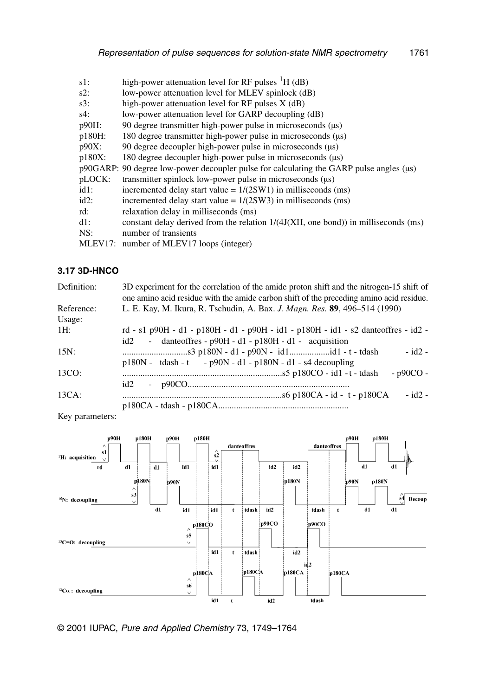| $s1$ :    | high-power attenuation level for RF pulses ${}^{1}H$ (dB)                                        |
|-----------|--------------------------------------------------------------------------------------------------|
| $s2$ :    | low-power attenuation level for MLEV spinlock (dB)                                               |
| $s3$ :    | high-power attenuation level for $RF$ pulses $X$ (dB)                                            |
| s4:       | low-power attenuation level for GARP decoupling (dB)                                             |
| p90H:     | 90 degree transmitter high-power pulse in microseconds ( $\mu$ s)                                |
| p180H:    | 180 degree transmitter high-power pulse in microseconds ( $\mu$ s)                               |
| $p90X$ :  | 90 degree decoupler high-power pulse in microseconds ( $\mu$ s)                                  |
| $p180X$ : | 180 degree decoupler high-power pulse in microseconds ( $\mu$ s)                                 |
|           | $p90GARP$ : 90 degree low-power decoupler pulse for calculating the GARP pulse angles ( $\mu$ s) |
| pLOCK:    | transmitter spinlock low-power pulse in microseconds ( $\mu$ s)                                  |
| $id1$ :   | incremented delay start value = $1/(2SW1)$ in milliseconds (ms)                                  |
| $id2$ :   | incremented delay start value = $1/(2SW3)$ in milliseconds (ms)                                  |
| rd:       | relaxation delay in milliseconds (ms)                                                            |
| dl:       | constant delay derived from the relation $1/(4J(XH, one bond))$ in milliseconds (ms)             |
| NS:       | number of transients                                                                             |
| MLEV17:   | number of MLEV17 loops (integer)                                                                 |

## **3.17 3D-HNCO**

| Definition: | 3D experiment for the correlation of the amide proton shift and the nitrogen-15 shift of<br>one amino acid residue with the amide carbon shift of the preceding amino acid residue. |
|-------------|-------------------------------------------------------------------------------------------------------------------------------------------------------------------------------------|
| Reference:  | L. E. Kay, M. Ikura, R. Tschudin, A. Bax. J. Magn. Res. 89, 496–514 (1990)                                                                                                          |
| Usage:      |                                                                                                                                                                                     |
| 1H:         | rd - s1 p90H - d1 - p180H - d1 - p90H - id1 - p180H - id1 - s2 dante of fres - id2 -                                                                                                |
|             | - danteoffres - $p90H - d1 - p180H - d1 - a$ acquisition<br>id2                                                                                                                     |
| $15N$ :     | $-$ id2 $-$                                                                                                                                                                         |
|             | $p180N - tdash - p90N - d1 - p180N - d1 - s4 decoupling$                                                                                                                            |
| 13CO:       | $-$ p90CO -                                                                                                                                                                         |
|             |                                                                                                                                                                                     |
| 13CA:       | $-$ id2 $-$                                                                                                                                                                         |
|             |                                                                                                                                                                                     |

Key parameters:

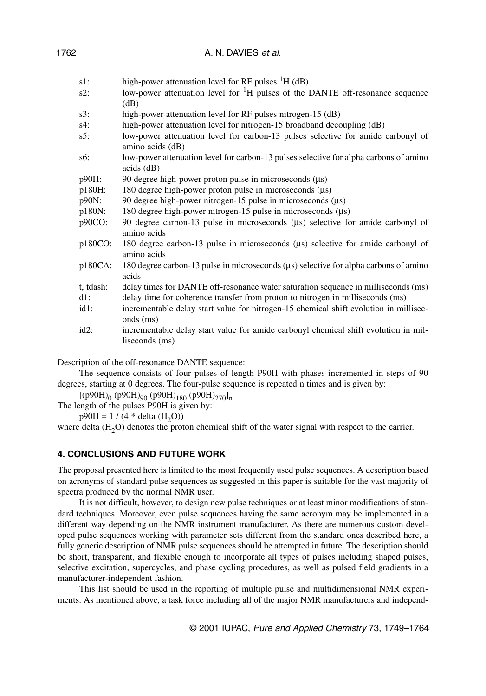| s1:       | high-power attenuation level for RF pulses ${}^{1}H$ (dB)                                                      |
|-----------|----------------------------------------------------------------------------------------------------------------|
| s2:       | low-power attenuation level for ${}^{1}H$ pulses of the DANTE off-resonance sequence<br>$\overline{\text{dB}}$ |
| s3:       | high-power attenuation level for RF pulses nitrogen-15 (dB)                                                    |
| s4:       | high-power attenuation level for nitrogen-15 broadband decoupling (dB)                                         |
| s5:       | low-power attenuation level for carbon-13 pulses selective for amide carbonyl of<br>amino acids (dB)           |
| s6:       | low-power attenuation level for carbon-13 pulses selective for alpha carbons of amino<br>$acids$ (dB)          |
| p90H:     | 90 degree high-power proton pulse in microseconds $(\mu s)$                                                    |
| p180H:    | 180 degree high-power proton pulse in microseconds (µs)                                                        |
| p90N:     | 90 degree high-power nitrogen-15 pulse in microseconds $(\mu s)$                                               |
| p180N:    | 180 degree high-power nitrogen-15 pulse in microseconds (µs)                                                   |
| p90CO:    | 90 degree carbon-13 pulse in microseconds (µs) selective for amide carbonyl of<br>amino acids                  |
| p180CO:   | 180 degree carbon-13 pulse in microseconds $(\mu s)$ selective for amide carbonyl of<br>amino acids            |
| p180CA:   | 180 degree carbon-13 pulse in microseconds (µs) selective for alpha carbons of amino<br>acids                  |
| t, tdash: | delay times for DANTE off-resonance water saturation sequence in milliseconds (ms)                             |
| d1:       | delay time for coherence transfer from proton to nitrogen in milliseconds (ms)                                 |
| id1:      | incrementable delay start value for nitrogen-15 chemical shift evolution in millisec-<br>onds (ms)             |
| id2:      | incrementable delay start value for amide carbonyl chemical shift evolution in mil-<br>liseconds (ms)          |
|           |                                                                                                                |

A. N. DAVIES et al.

Description of the off-resonance DANTE sequence:

The sequence consists of four pulses of length P90H with phases incremented in steps of 90 degrees, starting at 0 degrees. The four-pulse sequence is repeated n times and is given by:

 $[(p90H)<sub>0</sub> (p90H)<sub>90</sub> (p90H)<sub>180</sub> (p90H)<sub>270</sub>]<sub>n</sub>$ 

The length of the pulses P90H is given by:

 $p90H = 1 / (4 * delta (H<sub>2</sub>O))$ 

where delta (H<sub>2</sub>O) denotes the proton chemical shift of the water signal with respect to the carrier.

## **4. CONCLUSIONS AND FUTURE WORK**

The proposal presented here is limited to the most frequently used pulse sequences. A description based on acronyms of standard pulse sequences as suggested in this paper is suitable for the vast majority of spectra produced by the normal NMR user.

It is not difficult, however, to design new pulse techniques or at least minor modifications of standard techniques. Moreover, even pulse sequences having the same acronym may be implemented in a different way depending on the NMR instrument manufacturer. As there are numerous custom developed pulse sequences working with parameter sets different from the standard ones described here, a fully generic description of NMR pulse sequences should be attempted in future. The description should be short, transparent, and flexible enough to incorporate all types of pulses including shaped pulses, selective excitation, supercycles, and phase cycling procedures, as well as pulsed field gradients in a manufacturer-independent fashion.

This list should be used in the reporting of multiple pulse and multidimensional NMR experiments. As mentioned above, a task force including all of the major NMR manufacturers and independ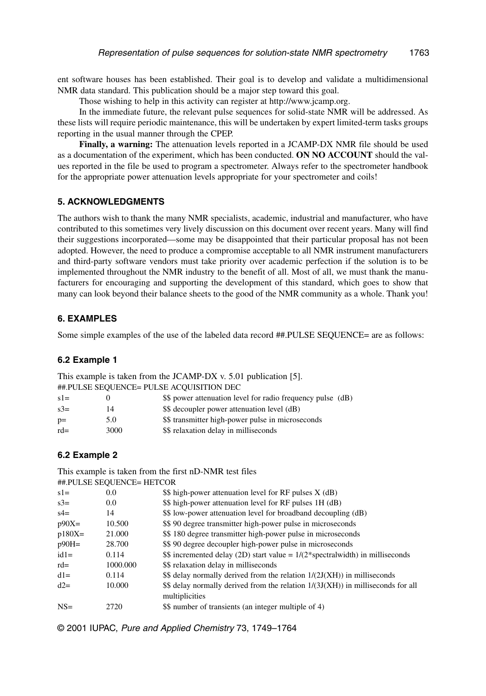ent software houses has been established. Their goal is to develop and validate a multidimensional NMR data standard. This publication should be a major step toward this goal.

Those wishing to help in this activity can register at http://www.jcamp.org.

In the immediate future, the relevant pulse sequences for solid-state NMR will be addressed. As these lists will require periodic maintenance, this will be undertaken by expert limited-term tasks groups reporting in the usual manner through the CPEP.

**Finally, a warning:** The attenuation levels reported in a JCAMP-DX NMR file should be used as a documentation of the experiment, which has been conducted. **ON NO ACCOUNT** should the values reported in the file be used to program a spectrometer. Always refer to the spectrometer handbook for the appropriate power attenuation levels appropriate for your spectrometer and coils!

#### **5. ACKNOWLEDGMENTS**

The authors wish to thank the many NMR specialists, academic, industrial and manufacturer, who have contributed to this sometimes very lively discussion on this document over recent years. Many will find their suggestions incorporated—some may be disappointed that their particular proposal has not been adopted. However, the need to produce a compromise acceptable to all NMR instrument manufacturers and third-party software vendors must take priority over academic perfection if the solution is to be implemented throughout the NMR industry to the benefit of all. Most of all, we must thank the manufacturers for encouraging and supporting the development of this standard, which goes to show that many can look beyond their balance sheets to the good of the NMR community as a whole. Thank you!

#### **6. EXAMPLES**

Some simple examples of the use of the labeled data record ##.PULSE SEQUENCE= are as follows:

#### **6.2 Example 1**

|         |      | ##.PULSE SEQUENCE= PULSE ACQUISITION DEC                    |
|---------|------|-------------------------------------------------------------|
| $s1=$   |      | \$\$ power attenuation level for radio frequency pulse (dB) |
| $s^3 =$ | 14   | \$\$ decoupler power attenuation level (dB)                 |
| $p=$    | 5.0  | \$\$ transmitter high-power pulse in microseconds           |
| $rd=$   | 3000 | \$\$ relaxation delay in milliseconds                       |
|         |      |                                                             |

This example is taken from the JCAMP-DX v. 5.01 publication [5].

#### **6.2 Example 2**

This example is taken from the first nD-NMR test files

|          | ##.PULSE SEQUENCE= HETCOR |                                                                                                     |
|----------|---------------------------|-----------------------------------------------------------------------------------------------------|
| $s1=$    | 0.0                       | \$\$ high-power attenuation level for RF pulses X (dB)                                              |
| $s3=$    | 0.0                       | \$\$ high-power attenuation level for RF pulses 1H (dB)                                             |
| $s4=$    | 14                        | \$\$ low-power attenuation level for broadband decoupling (dB)                                      |
| $p90X=$  | 10.500                    | \$\$ 90 degree transmitter high-power pulse in microseconds                                         |
| $p180X=$ | 21.000                    | \$\$180 degree transmitter high-power pulse in microseconds                                         |
| $p90H =$ | 28.700                    | \$\$ 90 degree decoupler high-power pulse in microseconds                                           |
| $id1=$   | 0.114                     | \$\$ incremented delay (2D) start value = $1/(2 \times \text{spectralwidth})$ in milliseconds       |
| $rd=$    | 1000.000                  | \$\$ relaxation delay in milliseconds                                                               |
| $dl=$    | 0.114                     | $$$ delay normally derived from the relation $1/(2J(XH))$ in milliseconds                           |
| $d2=$    | 10.000                    | $$$ delay normally derived from the relation $1/(3J(XH))$ in milliseconds for all<br>multiplicities |
| $NS=$    | 2720                      | \$\$ number of transients (an integer multiple of 4)                                                |
|          |                           |                                                                                                     |